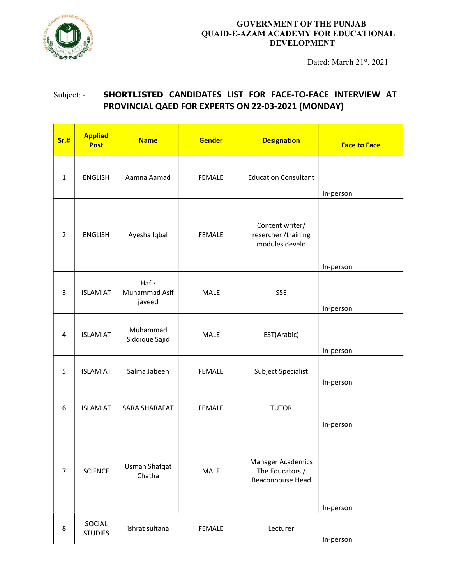

## GOVERNMENT OF THE PUNJAB QUAID-E-AZAM ACADEMY FOR EDUCATIONAL DEVELOPMENT

Dated: March 21st, 2021

## Subject: - SHORTLISTED CANDIDATES LIST FOR FACE-TO-FACE INTERVIEW AT PROVINCIAL QAED FOR EXPERTS ON 22-03-2021 (MONDAY)

| Sr.#           | <b>Applied</b><br><b>Post</b> | <b>Name</b>                             | <b>Gender</b> | <b>Designation</b>                                              | <b>Face to Face</b> |
|----------------|-------------------------------|-----------------------------------------|---------------|-----------------------------------------------------------------|---------------------|
| $\mathbf{1}$   | <b>ENGLISH</b>                | Aamna Aamad                             | <b>FEMALE</b> | <b>Education Consultant</b>                                     | In-person           |
| $\overline{2}$ | <b>ENGLISH</b>                | Ayesha Iqbal                            | <b>FEMALE</b> | Content writer/<br>resercher /training<br>modules develo        | In-person           |
| 3              | <b>ISLAMIAT</b>               | Hafiz<br><b>Muhammad Asif</b><br>javeed | <b>MALE</b>   | <b>SSE</b>                                                      | In-person           |
| 4              | <b>ISLAMIAT</b>               | Muhammad<br>Siddique Sajid              | <b>MALE</b>   | EST(Arabic)                                                     | In-person           |
| 5              | <b>ISLAMIAT</b>               | Salma Jabeen                            | <b>FEMALE</b> | Subject Specialist                                              | In-person           |
| 6              | <b>ISLAMIAT</b>               | SARA SHARAFAT                           | <b>FEMALE</b> | <b>TUTOR</b>                                                    | In-person           |
| $\overline{7}$ | <b>SCIENCE</b>                | Usman Shafqat<br>Chatha                 | MALE          | <b>Manager Academics</b><br>The Educators /<br>Beaconhouse Head | In-person           |
| 8              | SOCIAL<br><b>STUDIES</b>      | ishrat sultana                          | <b>FEMALE</b> | Lecturer                                                        | In-person           |